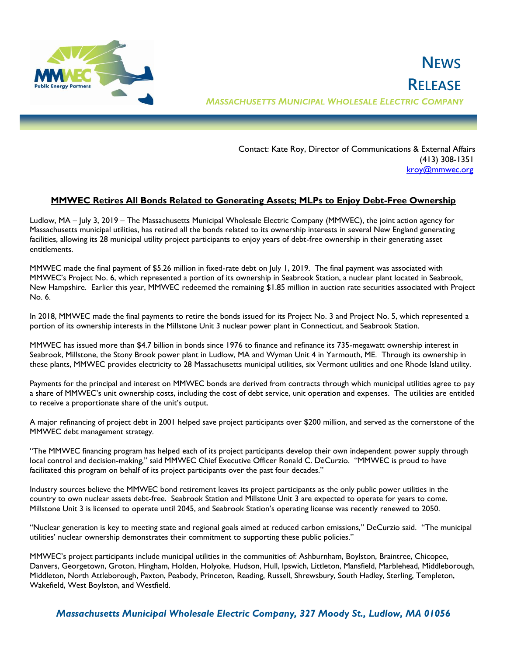

 Contact: Kate Roy, Director of Communications & External Affairs (413) 308-1351 [kroy@mmwec.org](mailto:kroy@mmwec.org)

## **MMWEC Retires All Bonds Related to Generating Assets; MLPs to Enjoy Debt-Free Ownership**

Ludlow, MA – July 3, 2019 – The Massachusetts Municipal Wholesale Electric Company (MMWEC), the joint action agency for Massachusetts municipal utilities, has retired all the bonds related to its ownership interests in several New England generating facilities, allowing its 28 municipal utility project participants to enjoy years of debt-free ownership in their generating asset entitlements.

MMWEC made the final payment of \$5.26 million in fixed-rate debt on July 1, 2019. The final payment was associated with MMWEC's Project No. 6, which represented a portion of its ownership in Seabrook Station, a nuclear plant located in Seabrook, New Hampshire. Earlier this year, MMWEC redeemed the remaining \$1.85 million in auction rate securities associated with Project No. 6.

In 2018, MMWEC made the final payments to retire the bonds issued for its Project No. 3 and Project No. 5, which represented a portion of its ownership interests in the Millstone Unit 3 nuclear power plant in Connecticut, and Seabrook Station.

MMWEC has issued more than \$4.7 billion in bonds since 1976 to finance and refinance its 735-megawatt ownership interest in Seabrook, Millstone, the Stony Brook power plant in Ludlow, MA and Wyman Unit 4 in Yarmouth, ME. Through its ownership in these plants, MMWEC provides electricity to 28 Massachusetts municipal utilities, six Vermont utilities and one Rhode Island utility.

Payments for the principal and interest on MMWEC bonds are derived from contracts through which municipal utilities agree to pay a share of MMWEC's unit ownership costs, including the cost of debt service, unit operation and expenses. The utilities are entitled to receive a proportionate share of the unit's output.

A major refinancing of project debt in 2001 helped save project participants over \$200 million, and served as the cornerstone of the MMWEC debt management strategy.

"The MMWEC financing program has helped each of its project participants develop their own independent power supply through local control and decision-making," said MMWEC Chief Executive Officer Ronald C. DeCurzio. "MMWEC is proud to have facilitated this program on behalf of its project participants over the past four decades."

Industry sources believe the MMWEC bond retirement leaves its project participants as the only public power utilities in the country to own nuclear assets debt-free. Seabrook Station and Millstone Unit 3 are expected to operate for years to come. Millstone Unit 3 is licensed to operate until 2045, and Seabrook Station's operating license was recently renewed to 2050.

"Nuclear generation is key to meeting state and regional goals aimed at reduced carbon emissions," DeCurzio said. "The municipal utilities' nuclear ownership demonstrates their commitment to supporting these public policies."

MMWEC's project participants include municipal utilities in the communities of: Ashburnham, Boylston, Braintree, Chicopee, Danvers, Georgetown, Groton, Hingham, Holden, Holyoke, Hudson, Hull, Ipswich, Littleton, Mansfield, Marblehead, Middleborough, Middleton, North Attleborough, Paxton, Peabody, Princeton, Reading, Russell, Shrewsbury, South Hadley, Sterling, Templeton, Wakefield, West Boylston, and Westfield.

*Massachusetts Municipal Wholesale Electric Company, 327 Moody St., Ludlow, MA 01056*